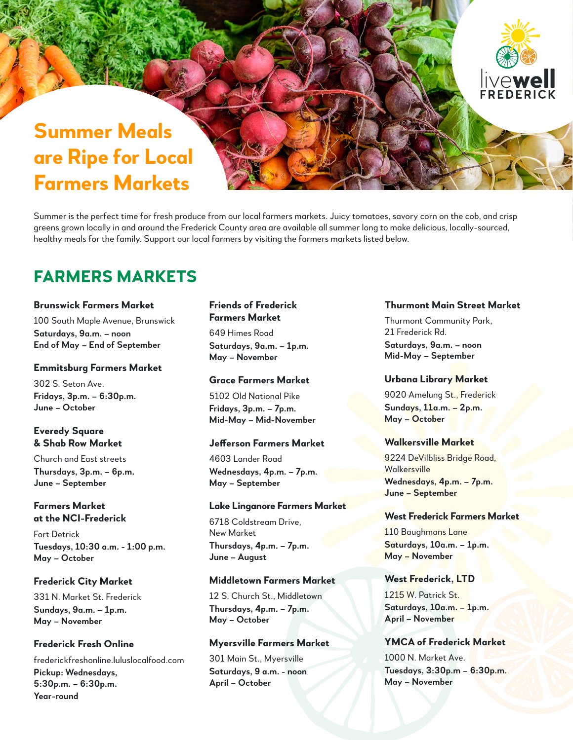# **Summer Meals are Ripe for Local Farmers Markets**

Summer is the perfect time for fresh produce from our local farmers markets. Juicy tomatoes, savory corn on the cob, and crisp greens grown locally in and around the Frederick County area are available all summer long to make delicious, locally-sourced, healthy meals for the family. Support our local farmers by visiting the farmers markets listed below.

## **FARMERS MARKETS**

#### **Brunswick Farmers Market**

100 South Maple Avenue, Brunswick **Saturdays, 9a.m. – noon End of May – End of September**

#### **Emmitsburg Farmers Market**

302 S. Seton Ave. **Fridays, 3p.m. – 6:30p.m. June – October**

#### **Everedy Square & Shab Row Market**

Church and East streets **Thursdays, 3p.m. – 6p.m. June – September**

### **Farmers Market at the NCI-Frederick**

Fort Detrick **Tuesdays, 10:30 a.m. - 1:00 p.m. May – October**

#### **Frederick City Market**

331 N. Market St. Frederick **Sundays, 9a.m. – 1p.m. May – November**

## **Frederick Fresh Online**

frederickfreshonline.luluslocalfood.com **Pickup: Wednesdays, 5:30p.m. – 6:30p.m. Year-round**

#### **Friends of Frederick Farmers Market**

649 Himes Road **Saturdays, 9a.m. – 1p.m. May – November**

#### **Grace Farmers Market**

5102 Old National Pike **Fridays, 3p.m. – 7p.m. Mid-May – Mid-November**

#### **Jefferson Farmers Market**

4603 Lander Road **Wednesdays, 4p.m. – 7p.m. May – September**

#### **Lake Linganore Farmers Market**

6718 Coldstream Drive, New Market **Thursdays, 4p.m. – 7p.m. June – August**

#### **Middletown Farmers Market**

12 S. Church St., Middletown **Thursdays, 4p.m. – 7p.m. May – October**

#### **Myersville Farmers Market**

301 Main St., Myersville **Saturdays, 9 a.m. - noon April – October**

### **Thurmont Main Street Market**

**TOWE**<br>FREDERIC

Thurmont Community Park, 21 Frederick Rd. **Saturdays, 9a.m. – noon Mid-May – September**

#### **Urbana Library Market**

9020 Amelung St., Frederick **Sundays, 11a.m. – 2p.m. May – October**

#### **Walkersville Market**

9224 DeVilbliss Bridge Road, Walkersville **Wednesdays, 4p.m. – 7p.m. June – September**

#### **West Frederick Farmers Market**

110 Baughmans Lane **Saturdays, 10a.m. – 1p.m. May – November**

#### **West Frederick, LTD**

1215 W. Patrick St. **Saturdays, 10a.m. – 1p.m. April – November**

## **YMCA of Frederick Market**

1000 N. Market Ave. **Tuesdays, 3:30p.m – 6:30p.m. May – November**